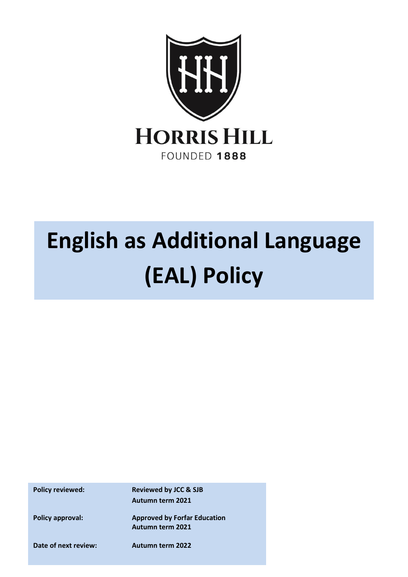

## **English as Additional Language (EAL) Policy**

**Policy reviewed: Reviewed by JCC & SJB Autumn term 2021**

**Policy approval: Approved by Forfar Education Autumn term 2021**

**Date of next review: Autumn term 2022**